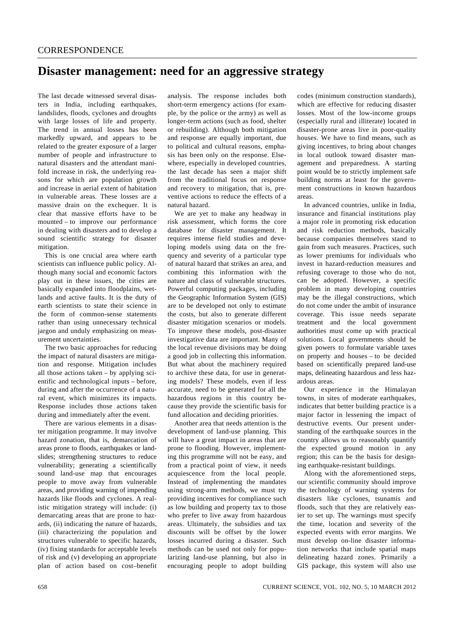## **Disaster management: need for an aggressive strategy**

The last decade witnessed several disasters in India, including earthquakes, landslides, floods, cyclones and droughts with large losses of life and property. The trend in annual losses has been markedly upward, and appears to be related to the greater exposure of a larger number of people and infrastructure to natural disasters and the attendant manifold increase in risk, the underlying reasons for which are population growth and increase in aerial extent of habitation in vulnerable areas. These losses are a massive drain on the exchequer. It is clear that massive efforts have to be mounted – to improve our performance in dealing with disasters and to develop a sound scientific strategy for disaster mitigation.

 This is one crucial area where earth scientists can influence public policy. Although many social and economic factors play out in these issues, the cities are basically expanded into floodplains, wetlands and active faults. It is the duty of earth scientists to state their science in the form of common-sense statements rather than using unnecessary technical jargon and unduly emphasizing on measurement uncertainties.

 The two basic approaches for reducing the impact of natural disasters are mitigation and response. Mitigation includes all those actions taken – by applying scientific and technological inputs – before, during and after the occurrence of a natural event, which minimizes its impacts. Response includes those actions taken during and immediately after the event.

 There are various elements in a disaster mitigation programme. It may involve hazard zonation, that is, demarcation of areas prone to floods, earthquakes or landslides; strengthening structures to reduce vulnerability; generating a scientifically sound land-use map that encourages people to move away from vulnerable areas, and providing warning of impending hazards like floods and cyclones. A realistic mitigation strategy will include: (i) demarcating areas that are prone to hazards, (ii) indicating the nature of hazards, (iii) characterizing the population and structures vulnerable to specific hazards, (iv) fixing standards for acceptable levels of risk and (v) developing an appropriate plan of action based on cost–benefit

analysis. The response includes both short-term emergency actions (for example, by the police or the army) as well as longer-term actions (such as food, shelter or rebuilding). Although both mitigation and response are equally important, due to political and cultural reasons, emphasis has been only on the response. Elsewhere, especially in developed countries, the last decade has seen a major shift from the traditional focus on response and recovery to mitigation, that is, preventive actions to reduce the effects of a natural hazard.

 We are yet to make any headway in risk assessment, which forms the core database for disaster management. It requires intense field studies and developing models using data on the frequency and severity of a particular type of natural hazard that strikes an area, and combining this information with the nature and class of vulnerable structures. Powerful computing packages, including the Geographic Information System (GIS) are to be developed not only to estimate the costs, but also to generate different disaster mitigation scenarios or models. To improve these models, post-disaster investigative data are important. Many of the local revenue divisions may be doing a good job in collecting this information. But what about the machinery required to archive these data, for use in generating models? These models, even if less accurate, need to be generated for all the hazardous regions in this country because they provide the scientific basis for fund allocation and deciding priorities.

 Another area that needs attention is the development of land-use planning. This will have a great impact in areas that are prone to flooding. However, implementing this programme will not be easy, and from a practical point of view, it needs acquiescence from the local people. Instead of implementing the mandates using strong-arm methods, we must try providing incentives for compliance such as low building and property tax to those who prefer to live away from hazardous areas. Ultimately, the subsidies and tax discounts will be offset by the lower losses incurred during a disaster. Such methods can be used not only for popularizing land-use planning, but also in encouraging people to adopt building

codes (minimum construction standards), which are effective for reducing disaster losses. Most of the low-income groups (especially rural and illiterate) located in disaster-prone areas live in poor-quality houses. We have to find means, such as giving incentives, to bring about changes in local outlook toward disaster management and preparedness. A starting point would be to strictly implement safe building norms at least for the government constructions in known hazardous areas.

 In advanced countries, unlike in India, insurance and financial institutions play a major role in promoting risk education and risk reduction methods, basically because companies themselves stand to gain from such measures. Practices, such as lower premiums for individuals who invest in hazard-reduction measures and refusing coverage to those who do not, can be adopted. However, a specific problem in many developing countries may be the illegal constructions, which do not come under the ambit of insurance coverage. This issue needs separate treatment and the local government authorities must come up with practical solutions. Local governments should be given powers to formulate variable taxes on property and houses – to be decided based on scientifically prepared land-use maps, delineating hazardous and less hazardous areas.

 Our experience in the Himalayan towns, in sites of moderate earthquakes, indicates that better building practice is a major factor in lessening the impact of destructive events. Our present understanding of the earthquake sources in the country allows us to reasonably quantify the expected ground motion in any region; this can be the basis for designing earthquake-resistant buildings.

 Along with the aforementioned steps, our scientific community should improve the technology of warning systems for disasters like cyclones, tsunamis and floods, such that they are relatively easier to set up. The warnings must specify the time, location and severity of the expected events with error margins. We must develop on-line disaster information networks that include spatial maps delineating hazard zones. Primarily a GIS package, this system will also use